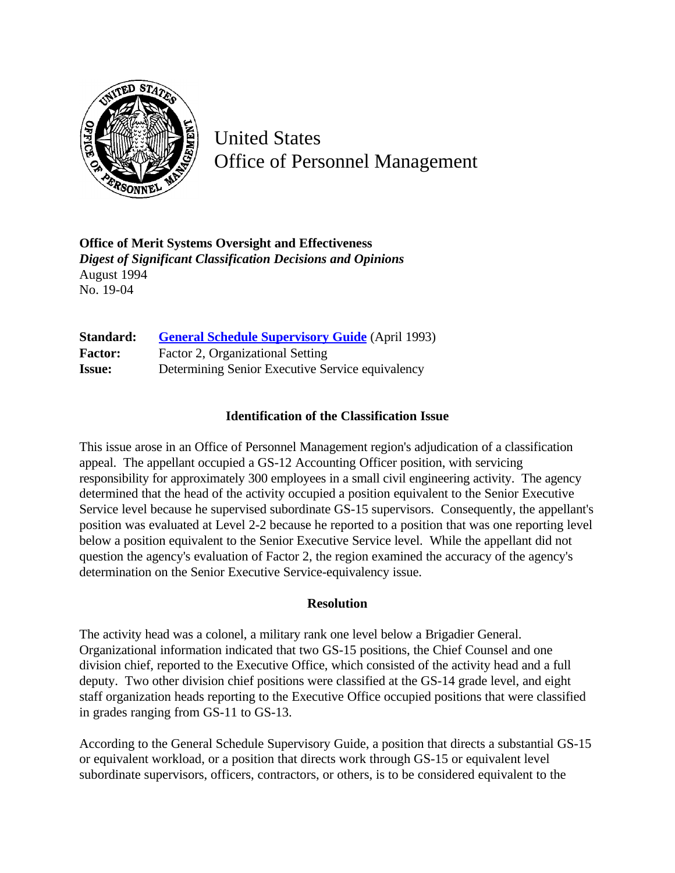

United States Office of Personnel Management

**Office of Merit Systems Oversight and Effectiveness** *Digest of Significant Classification Decisions and Opinions* August 1994 No. 19-04

| Standard:      | <b>General Schedule Supervisory Guide</b> (April 1993) |
|----------------|--------------------------------------------------------|
| <b>Factor:</b> | Factor 2, Organizational Setting                       |
| <b>Issue:</b>  | Determining Senior Executive Service equivalency       |

## **Identification of the Classification Issue**

This issue arose in an Office of Personnel Management region's adjudication of a classification appeal. The appellant occupied a GS-12 Accounting Officer position, with servicing responsibility for approximately 300 employees in a small civil engineering activity. The agency determined that the head of the activity occupied a position equivalent to the Senior Executive Service level because he supervised subordinate GS-15 supervisors. Consequently, the appellant's position was evaluated at Level 2-2 because he reported to a position that was one reporting level below a position equivalent to the Senior Executive Service level. While the appellant did not question the agency's evaluation of Factor 2, the region examined the accuracy of the agency's determination on the Senior Executive Service-equivalency issue.

## **Resolution**

The activity head was a colonel, a military rank one level below a Brigadier General. Organizational information indicated that two GS-15 positions, the Chief Counsel and one division chief, reported to the Executive Office, which consisted of the activity head and a full deputy. Two other division chief positions were classified at the GS-14 grade level, and eight staff organization heads reporting to the Executive Office occupied positions that were classified in grades ranging from GS-11 to GS-13.

According to the General Schedule Supervisory Guide, a position that directs a substantial GS-15 or equivalent workload, or a position that directs work through GS-15 or equivalent level subordinate supervisors, officers, contractors, or others, is to be considered equivalent to the